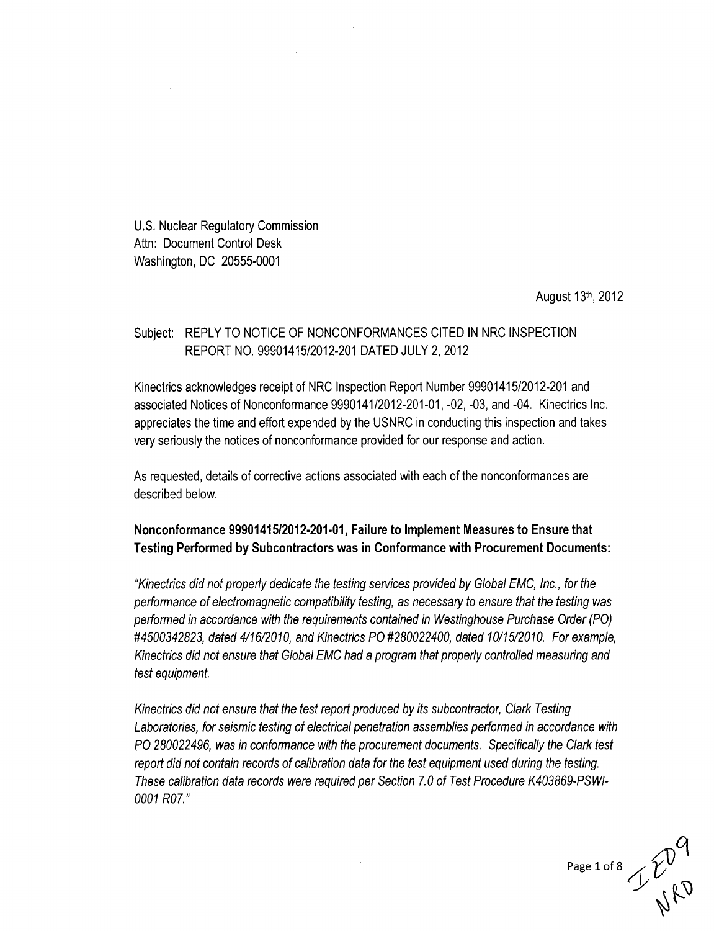U.S. Nuclear Regulatory Commission Attn: Document Control Desk Washington, DC 20555-0001

August 13th, 2012

# Subject: REPLY TO NOTICE OF NONCONFORMANCES CITED IN NRC INSPECTION REPORT NO. 99901415/2012-201 DATED JULY 2, 2012

Kinectrics acknowledges receipt of NRC Inspection Report Number 99901415/2012-201 and associated Notices of Nonconformance 9990141/2012-201-01, -02, -03, and -04. Kinectrics Inc. appreciates the time and effort expended by the USNRC in conducting this inspection and takes very seriously the notices of nonconformance provided for our response and action.

As requested, details of corrective actions associated with each of the nonconformances are described below.

# Nonconformance **99901415/2012-201-01,** Failure to Implement Measures to Ensure that Testing Performed **by** Subcontractors was in Conformance with Procurement Documents:

*"Kinectrics did not properly dedicate the testing services provided by Global EMC, Inc., for the performance of electromagnetic compatibility testing, as necessary to ensure that the testing was performed in accordance with the requirements contained in Westinghouse Purchase Order (PO) #4500342823, dated 4/16/2010, and Kinectrics PO #280022400, dated 10/15/2010. For example, Kinectrics did not ensure that Global EMC had a program that properly controlled measuring and test equipment.*

*Kinectrics did not ensure that the test report produced by its subcontractor, Clark Testing Laboratories, for seismic testing of electrical penetration assemblies performed in accordance with PO 280022496, was in conformance with the procurement documents. Specifically the Clark test report did not contain records of calibration data for the test equipment used during the testing. These calibration data records were required per Section 7. 0 of Test Procedure K403869-PS WI-0001 R07."*

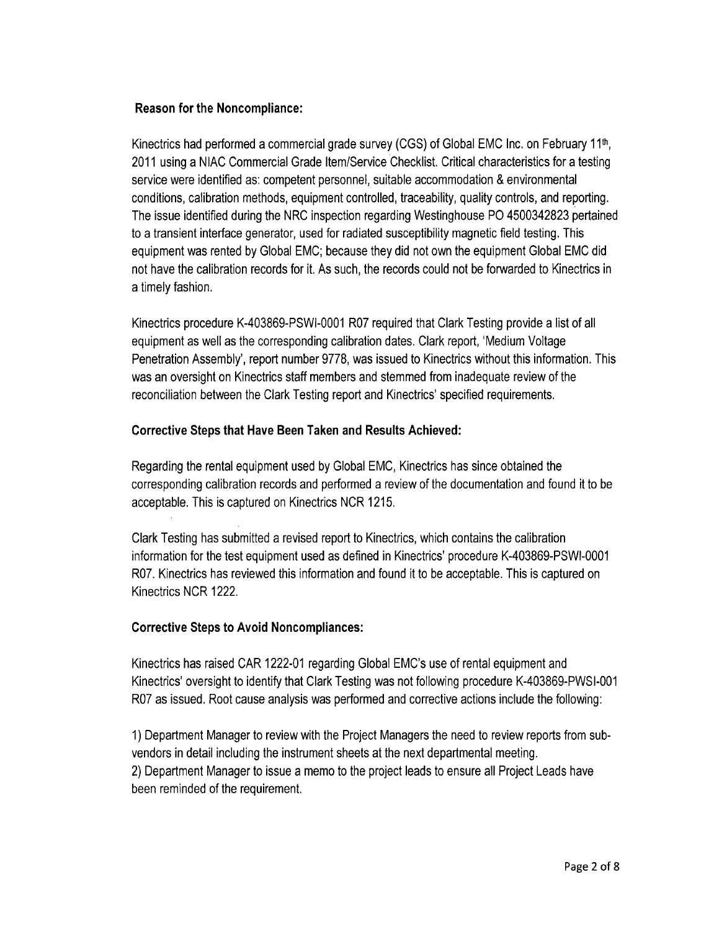## Reason for the Noncompliance:

Kinectrics had performed a commercial grade survey (CGS) of Global **EMC** Inc. on February 1 1th, 2011 using a NIAC Commercial Grade Item/Service Checklist. Critical characteristics for a testing service were identified as: competent personnel, suitable accommodation & environmental conditions, calibration methods, equipment controlled, traceability, quality controls, and reporting. The issue identified during the NRC inspection regarding Westinghouse P0 4500342823 pertained to a transient interface generator, used for radiated susceptibility magnetic field testing. This equipment was rented by Global EMC; because they did not own the equipment Global EMC did not have the calibration records for it. As such, the records could not be forwarded to Kinectrics in a timely fashion.

Kinectrics procedure K-403869-PSWI-0001 R07 required that Clark Testing provide a list of all equipment as well as the corresponding calibration dates. Clark report, 'Medium Voltage Penetration Assembly', report number 9778, was issued to Kinectrics without this information. This was an oversight on Kinectrics staff members and stemmed from inadequate review of the reconciliation between the Clark Testing report and Kinectrics' specified requirements.

# Corrective Steps that Have Been Taken and Results Achieved:

Regarding the rental equipment used by Global EMC, Kinectrics has since obtained the corresponding calibration records and performed a review of the documentation and found it to be acceptable. This is captured on Kinectrics NCR 1215.

Clark Testing has submitted a revised report to Kinectrics, which contains the calibration information for the test equipment used as defined in Kinectrics' procedure K-403869-PSWI-0001 R07. Kinectrics has reviewed this information and found it to be acceptable. This is captured on Kinectrics NCR 1222.

# Corrective Steps to Avoid Noncompliances:

Kinectrics has raised CAR 1222-01 regarding Global EMC's use of rental equipment and Kinectrics' oversight to identify that Clark Testing was not following procedure K-403869-PWSI-001 R07 as issued. Root cause analysis was performed and corrective actions include the following:

1) Department Manager to review with the Project Managers the need to review reports from subvendors in detail including the instrument sheets at the next departmental meeting. 2) Department Manager to issue a memo to the project leads to ensure all Project Leads have been reminded of the requirement.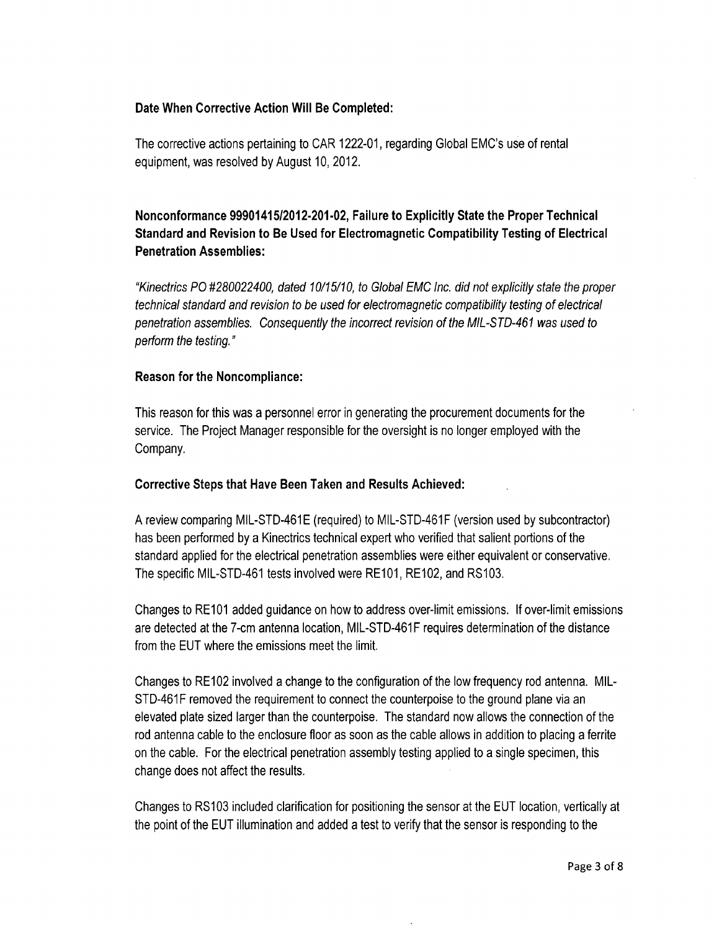## Date When Corrective Action Will Be Completed:

The corrective actions pertaining to CAR 1222-01, regarding Global EMC's use of rental equipment, was resolved by August 10, 2012.

# Nonconformance **99901415/2012-201-02,** Failure to Explicitly State the Proper Technical Standard and Revision to Be Used for Electromagnetic Compatibility Testing of Electrical Penetration Assemblies:

*"Kinectrics PO #280022400, dated 10/15/10, to Global EMC Inc. did not explicitly state the proper technical standard and revision to be used for electromagnetic compatibility testing of electrical penetration assemblies. Consequently the incorrect revision of the MIL-STD-461 was used to perform the testing."*

### Reason for the Noncompliance:

This reason for this was a personnel error in generating the procurement documents for the service. The Project Manager responsible for the oversight is no longer employed with the Company.

#### Corrective Steps that Have Been Taken and Results Achieved:

A review comparing MIL-STD-461E (required) to MIL-STD-461F (version used by subcontractor) has been performed by a Kinectrics technical expert who verified that salient portions of the standard applied for the electrical penetration assemblies were either equivalent or conservative. The specific MIL-STD-461 tests involved were RE101, RE102, and RS103.

Changes to RE101 added guidance on how to address over-limit emissions. If over-limit emissions are detected at the 7-cm antenna location, MIL-STD-461F requires determination of the distance from the EUT where the emissions meet the limit.

Changes to RE102 involved a change to the configuration of the low frequency rod antenna. MIL-STD-461F removed the requirement to connect the counterpoise to the ground plane via an elevated plate sized larger than the counterpoise. The standard now allows the connection of the rod antenna cable to the enclosure floor as soon as the cable allows in addition to placing a ferrite on the cable. For the electrical penetration assembly testing applied to a single specimen, this change does not affect the results.

Changes to RS103 included clarification for positioning the sensor at the EUT location, vertically at the point of the EUT illumination and added a test to verify that the sensor is responding to the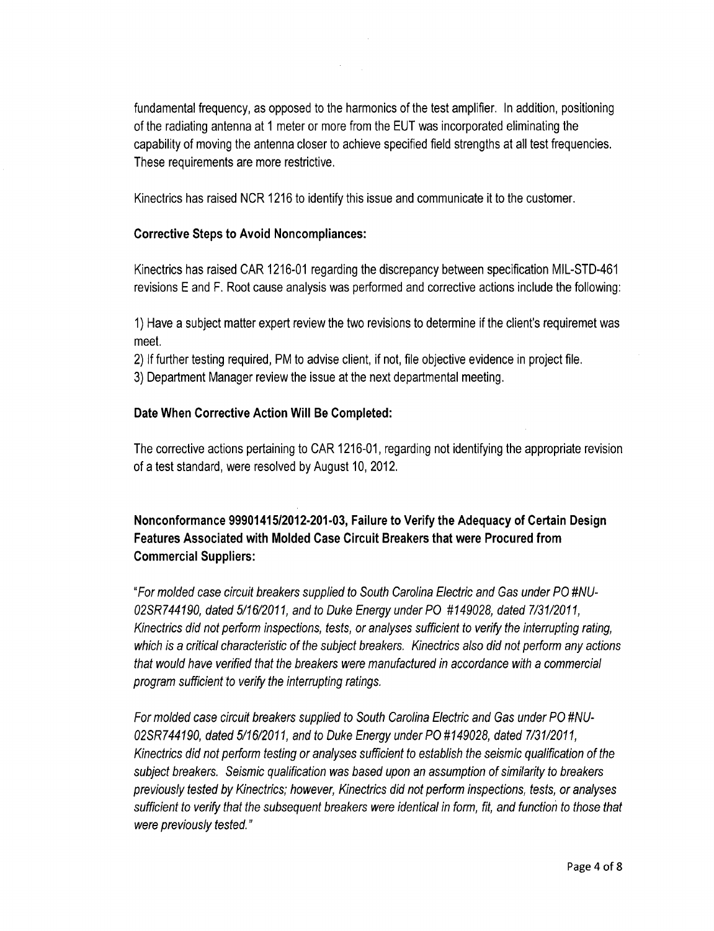fundamental frequency, as opposed to the harmonics of the test amplifier. In addition, positioning of the radiating antenna at 1 meter or more from the EUT was incorporated eliminating the capability of moving the antenna closer to achieve specified field strengths at all test frequencies. These requirements are more restrictive.

Kinectrics has raised NCR 1216 to identify this issue and communicate it to the customer.

# Corrective Steps to Avoid Noncompliances:

Kinectrics has raised CAR 1216-01 regarding the discrepancy between specification MIL-STD-461 revisions E and F. Root cause analysis was performed and corrective actions include the following:

1) Have a subject matter expert review the two revisions to determine if the client's requiremet was meet.

2) If further testing required, PM to advise client, if not, file objective evidence in project file. 3) Department Manager review the issue at the next departmental meeting.

# Date When Corrective Action Will Be Completed:

The corrective actions pertaining to CAR 1216-01, regarding not identifying the appropriate revision of a test standard, were resolved by August 10, 2012.

# Nonconformance **99901415/2012-201-03,** Failure to Verify the Adequacy of Certain Design Features Associated with Molded Case Circuit Breakers that were Procured from Commercial Suppliers:

*"For molded case circuit breakers supplied to South Carolina Electric and Gas under PO #NU-02SR 744190, dated 5/16/2011, and to Duke Energy under PO #149028, dated 7/31/2011, Kinectrics did not perform inspections, tests, or analyses sufficient to verify the interrupting rating, which is a critical characteristic of the subject breakers. Kinectrics also did not perform any actions that would have verified that the breakers were manufactured in accordance with a commercial program sufficient to verify the interrupting ratings.*

*For molded case circuit breakers supplied to South Carolina Electric and Gas under PO #NU-02SR 744190, dated 5/16/2011, and to Duke Energy under PO #149028, dated 7/31/2011, Kinectrics did not perform testing or analyses sufficient to establish the seismic qualification of the subject breakers. Seismic qualification was based upon an assumption of similarity to breakers previously tested by Kinectrics; however, Kinectrics did not perform inspections, tests, or analyses sufficient to verify that the subsequent breakers were identical in form, fit, and function to those that were previously tested."*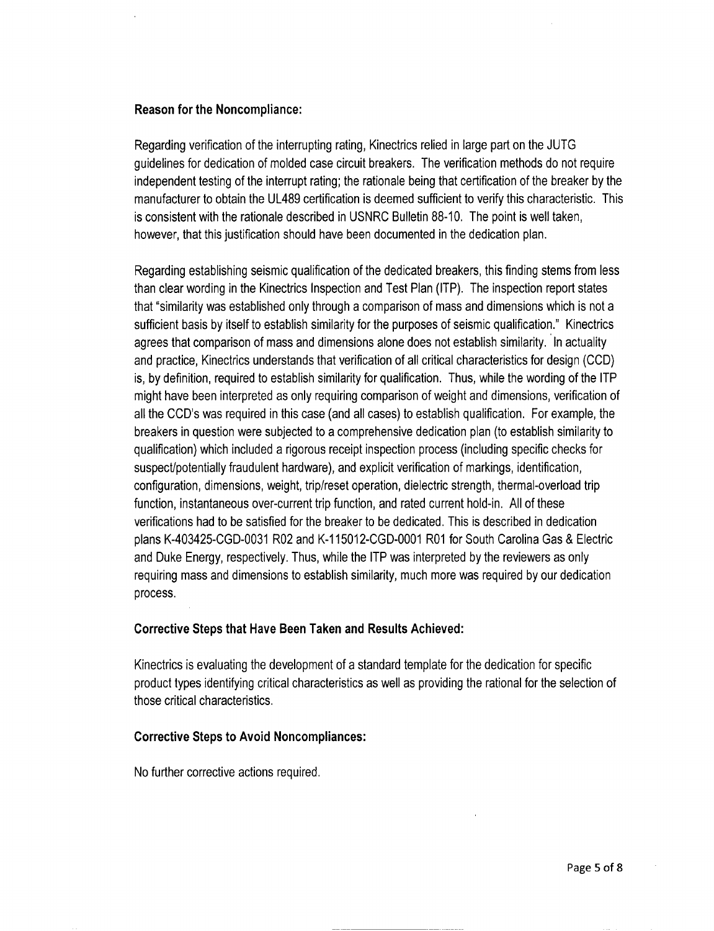#### Reason for the Noncompliance:

Regarding verification of the interrupting rating, Kinectrics relied in large part on the JUTG guidelines for dedication of molded case circuit breakers. The verification methods do not require independent testing of the interrupt rating; the rationale being that certification of the breaker by the manufacturer to obtain the UL489 certification is deemed sufficient to verify this characteristic. This is consistent with the rationale described in USNRC Bulletin 88-10. The point is well taken, however, that this justification should have been documented in the dedication plan.

Regarding establishing seismic qualification of the dedicated breakers, this finding stems from less than clear wording in the Kinectrics Inspection and Test Plan (ITP). The inspection report states that "similarity was established only through a comparison of mass and dimensions which is not a sufficient basis by itself to establish similarity for the purposes of seismic qualification." Kinectrics agrees that comparison of mass and dimensions alone does not establish similarity. In actuality and practice, Kinectrics understands that verification of all critical characteristics for design (CCD) is, by definition, required to establish similarity for qualification. Thus, while the wording of the ITP might have been interpreted as only requiring comparison of weight and dimensions, verification of all the CCD's was required in this case (and all cases) to establish qualification. For example, the breakers in question were subjected to a comprehensive dedication plan (to establish similarity to qualification) which included a rigorous receipt inspection process (including specific checks for suspect/potentially fraudulent hardware), and explicit verification of markings, identification, configuration, dimensions, weight, trip/reset operation, dielectric strength, thermal-overload trip function, instantaneous over-current trip function, and rated current hold-in. All of these verifications had to be satisfied for the breaker to be dedicated. This is described in dedication plans K-403425-CGD-0031 R02 and K-115012-CGD-0001 R01 for South Carolina Gas & Electric and Duke Energy, respectively. Thus, while the ITP was interpreted by the reviewers as only requiring mass and dimensions to establish similarity, much more was required by our dedication process.

#### Corrective Steps that Have Been Taken and Results Achieved:

Kinectrics is evaluating the development of a standard template for the dedication for specific product types identifying critical characteristics as well as providing the rational for the selection of those critical characteristics.

#### Corrective Steps to Avoid Noncompliances:

No further corrective actions required.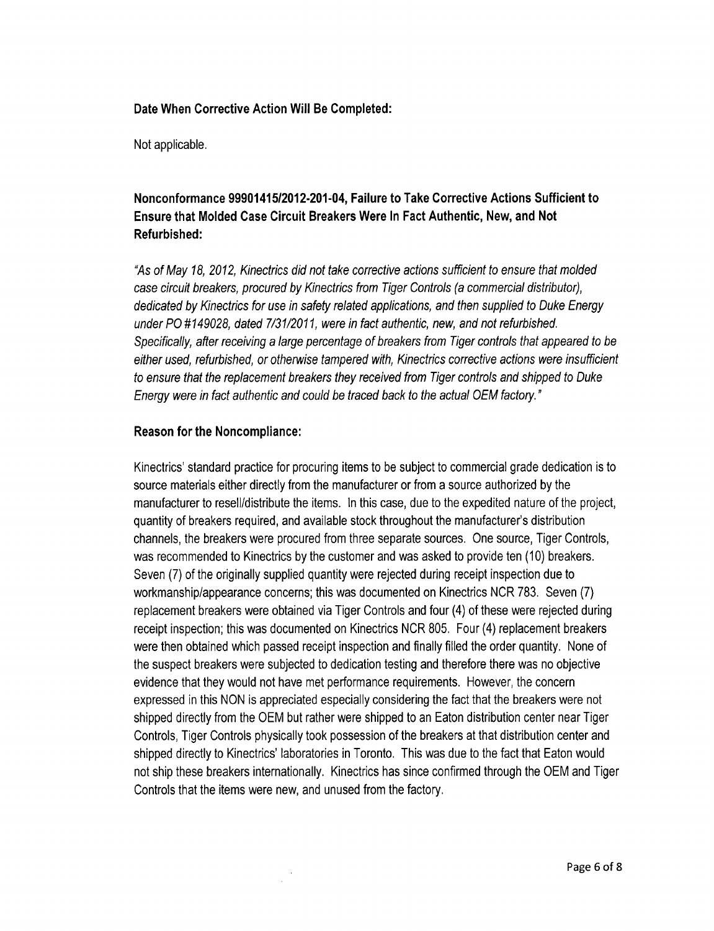### Date When Corrective Action Will Be Completed:

Not applicable.

# Nonconformance 99901415/2012-201-04, Failure to Take Corrective Actions Sufficient to Ensure that Molded Case Circuit Breakers Were In Fact Authentic, New, and Not Refurbished:

*"As of May 18, 2012, Kinectrics did not take corrective actions sufficient to ensure that molded case circuit breakers, procured by Kinectrics from Tiger Controls (a commercial distributor), dedicated by Kinectrics for use in safety related applications, and then supplied to Duke Energy under PO #149028, dated 7/31/2011, were in fact authentic, new, and not refurbished. Specifically, after receiving a large percentage of breakers from Tiger controls that appeared to be either used, refurbished, or otherwise tampered with, Kinectrics corrective actions were insufficient to ensure that the replacement breakers they received from Tiger controls and shipped to Duke Energy were in fact authentic and could be traced back to the actual OEM factory."*

## Reason for the Noncompliance:

Kinectrics' standard practice for procuring items to be subject to commercial grade dedication is to source materials either directly from the manufacturer or from a source authorized by the manufacturer to resell/distribute the items. In this case, due to the expedited nature of the project, quantity of breakers required, and available stock throughout the manufacturer's distribution channels, the breakers were procured from three separate sources. One source, Tiger Controls, was recommended to Kinectrics by the customer and was asked to provide ten (10) breakers. Seven (7) of the originally supplied quantity were rejected during receipt inspection due to workmanship/appearance concerns; this was documented on Kinectrics NCR 783. Seven (7) replacement breakers were obtained via Tiger Controls and four (4) of these were rejected during receipt inspection; this was documented on Kinectrics NCR 805. Four (4) replacement breakers were then obtained which passed receipt inspection and finally filled the order quantity. None of the suspect breakers were subjected to dedication testing and therefore there was no objective evidence that they would not have met performance requirements. However, the concern expressed in this NON is appreciated especially considering the fact that the breakers were not shipped directly from the OEM but rather were shipped to an Eaton distribution center near Tiger Controls, Tiger Controls physically took possession of the breakers at that distribution center and shipped directly to Kinectrics' laboratories in Toronto. This was due to the fact that Eaton would not ship these breakers internationally. Kinectrics has since confirmed through the OEM and Tiger Controls that the items were new, and unused from the factory.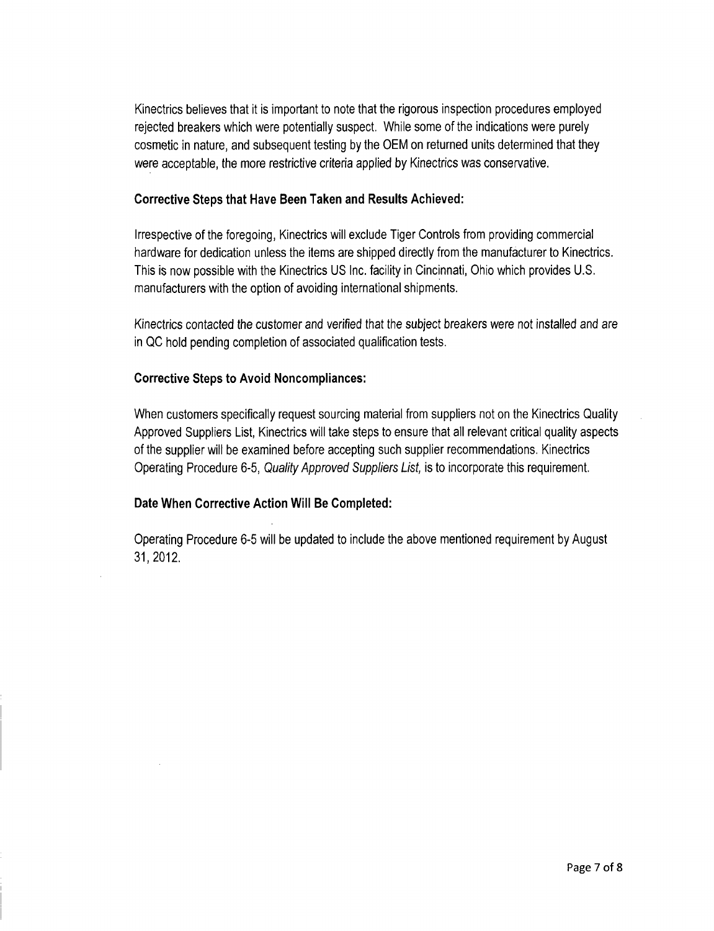Kinectrics believes that it is important to note that the rigorous inspection procedures employed rejected breakers which were potentially suspect. While some of the indications were purely cosmetic in nature, and subsequent testing by the OEM on returned units determined that they were acceptable, the more restrictive criteria applied by Kinectrics was conservative.

## Corrective Steps that Have Been Taken and Results Achieved:

Irrespective of the foregoing, Kinectrics will exclude Tiger Controls from providing commercial hardware for dedication unless the items are shipped directly from the manufacturer to Kinectrics. This is now possible with the Kinectrics US Inc. facility in Cincinnati, Ohio which provides U.S. manufacturers with the option of avoiding international shipments.

Kinectrics contacted the customer and verified that the subject breakers were not installed and are in QC hold pending completion of associated qualification tests.

### Corrective Steps to Avoid Noncompliances:

When customers specifically request sourcing material from suppliers not on the Kinectrics Quality Approved Suppliers List, Kinectrics will take steps to ensure that all relevant critical quality aspects of the supplier will be examined before accepting such supplier recommendations. Kinectrics Operating Procedure 6-5, *Quality Approved Suppliers List,* is to incorporate this requirement.

## Date When Corrective Action Will Be Completed:

Operating Procedure 6-5 will be updated to include the above mentioned requirement by August **31,2012.**